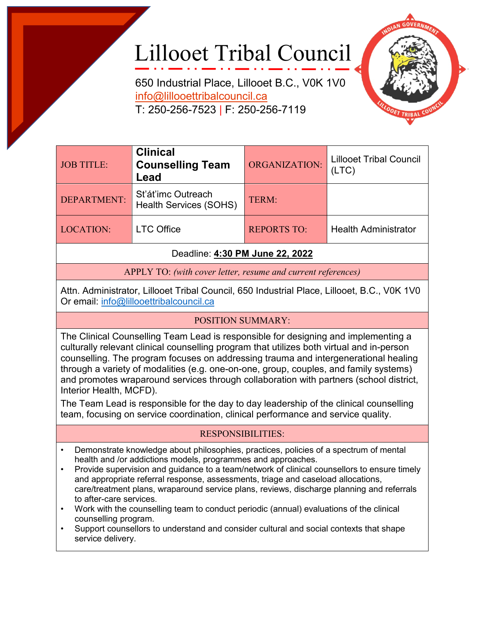## Lillooet Tribal Council

650 Industrial Place, Lillooet B.C., V0K 1V0 [info@lillooettribalcouncil.ca](mailto:info@lillooettribalcouncil.ca) T: 250-256-7523 | F: 250-256-7119



| <b>JOB TITLE:</b> | <b>Clinical</b><br><b>Counselling Team</b><br>Lead  | ORGANIZATION:      | <b>Lillooet Tribal Council</b><br>(LTC) |
|-------------------|-----------------------------------------------------|--------------------|-----------------------------------------|
| DEPARTMENT:       | St'át'imc Outreach<br><b>Health Services (SOHS)</b> | TERM:              |                                         |
| <b>LOCATION:</b>  | <b>LTC Office</b>                                   | <b>REPORTS TO:</b> | <b>Health Administrator</b>             |

Deadline: **4:30 PM June 22, 2022**

APPLY TO: *(with cover letter, resume and current references)*

Attn. Administrator, Lillooet Tribal Council, 650 Industrial Place, Lillooet, B.C., V0K 1V0 Or email: [info@lillooettribalcouncil.ca](mailto:info@lillooettribalcouncil.ca)

## POSITION SUMMARY:

The Clinical Counselling Team Lead is responsible for designing and implementing a culturally relevant clinical counselling program that utilizes both virtual and in-person counselling. The program focuses on addressing trauma and intergenerational healing through a variety of modalities (e.g. one-on-one, group, couples, and family systems) and promotes wraparound services through collaboration with partners (school district, Interior Health, MCFD).

The Team Lead is responsible for the day to day leadership of the clinical counselling team, focusing on service coordination, clinical performance and service quality.

## RESPONSIBILITIES:

- Demonstrate knowledge about philosophies, practices, policies of a spectrum of mental health and /or addictions models, programmes and approaches.
- Provide supervision and quidance to a team/network of clinical counsellors to ensure timely and appropriate referral response, assessments, triage and caseload allocations, care/treatment plans, wraparound service plans, reviews, discharge planning and referrals to after-care services.
- Work with the counselling team to conduct periodic (annual) evaluations of the clinical counselling program.
- Support counsellors to understand and consider cultural and social contexts that shape service delivery.